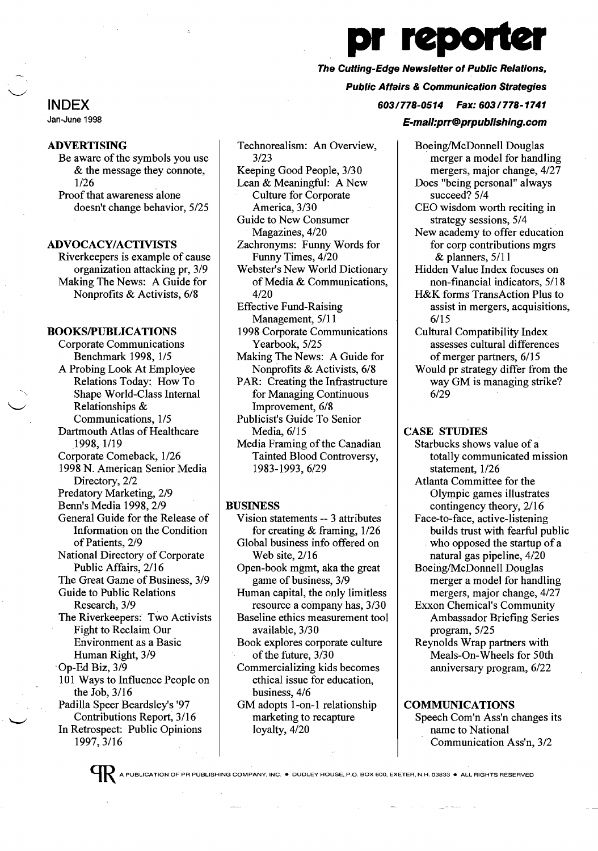# *n* reporte The Cutting-Edge Newsletter of Public Relations, Public Affairs & Communication Strategies 603/778-0514 Fax: 603/778-1741

#### E-mail:prr@prpublishing.com

INDEX Jan-June 1998

## ADVERTISING

Be aware of the symbols you use & the message they connote, 1/26 Proof that awareness alone

doesn't change behavior, 5/25

## ADVOCACY/ACTIVISTS

Riverkeepers is example of cause organization attacking pr, 3/9 Making The News: A Guide for Nonprofits & Activists, 6/8

## BOOKSIPUBLICATIONS

Corporate Communications Benchmark 1998, 1/5 A Probing Look At Employee Relations Today: How To Shape World-Class Internal Relationships & Communications, 1/5 Dartmouth Atlas of Healthcare 1998, 1/19 Corporate Comeback, 1/26 1998 N. American Senior Media Directory, 2/2 Predatory Marketing, 2/9 Benn's Media 1998,2/9 General Guide for the Release of Information on the Condition of Patients, 2/9 National Directory of Corporate Public Affairs, 2/16 The Great Game of Business, 3/9 Guide to Public Relations Research, 3/9 The Riverkeepers: Two Activists Fight to Reclaim Our Environment as a Basic Human Right, 3/9 'Op-Ed Biz, 3/9 101 Ways to Influence People on the Job,  $3/16$ Padilla Speer Beardsley's '97 Contributions Report, 3/16 In Retrospect: Public Opinions 1997,3/16

Technorealism: An Overview, 3/23 Keeping Good People, 3/30 Lean & Meaningful: A New Culture for Corporate

America, 3/30 Guide to New Consumer Magazines, 4/20

Zachronyms: Funny Words for Funny Times, 4/20

Webster's New World Dictionary of Media & Communications, 4/20

Effective Fund-Raising Management, 5/11

1998 Corporate Communications Yearbook, 5/25

Making The News: A Guide for Nonprofits & Activists, 6/8

PAR: Creating the Infrastructure for Managing Continuous

Improvement, 6/8

Publicist's Guide To Senior Media, 6/15

Media Framing of the Canadian Tainted Blood Controversy, 1983-1993,6/29

#### BUSINESS

- Vision statements -- 3 attributes for creating & framing, 1/26 Global business info offered on Web site, 2/16
- Open-book mgmt, aka the great game of business, 3/9 Human capital, the only limitless
- resource a company has, 3/30 Baseline ethics measurement tool

available, 3/30

Book explores corporate culture of the future,  $3/30$ 

Commercializing kids becomes

ethical issue for education,

business, 4/6

GM adopts 1-on-1 relationship marketing to recapture loyalty,  $4/20$ 

Boeing/McDonnell Douglas merger a model for handling mergers, major change, 4/27 Does "being personal" always succeed? 5/4

CEO wisdom worth reciting in strategy sessions, 5/4

New academy to offer education for corp contributions mgrs & planners, 5/11

Hidden Value Index focuses on non-financial indicators, 5/18

H&K forms TransAction Plus to assist in mergers, acquisitions, 6/15

Cultural Compatibility Index assesses cultural differences of merger partners, 6/15 Would pr strategy differ from the way GM is managing strike?

6/29

## CASE STUDIES

Starbucks shows value of a totally communicated mission statement, 1/26

Atlanta Committee for the Olympic games illustrates contingency theory, 2/16

Face-to-face, active-listening builds trust with fearful public who opposed the startup of a natural gas pipeline, 4/20

Boeing/McDonnell Douglas merger a model for handling mergers, major change, 4/27

Exxon Chemical's Community Ambassador Briefing Series program, 5/25

Reynolds Wrap partners with Meals-On-Wheels for 50th anniversary program, 6/22

**COMMUNICATIONS** Speech Com'n Ass'n changes its name to National Communication Ass'n, 3/2

**QR** A PUBLICATION OF PR PUBLISHING COMPANY, INC. ● DUDLEY HOUSE, P.O. BOX 600. EXETER, N.H. 03833 ● ALL RIGHTS RESERVED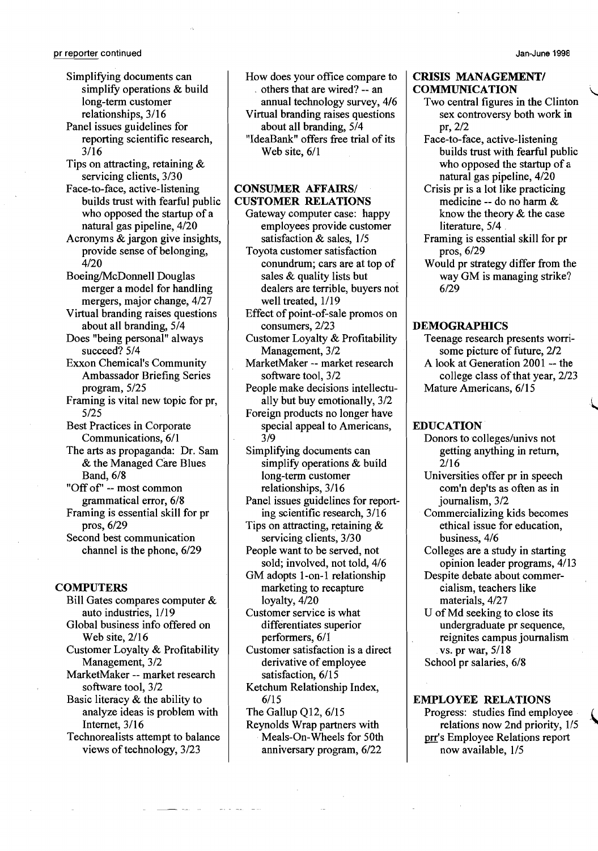Panel issues guidelines for reporting scientific research, 3/16

Tips on attracting, retaining & servicing clients, *3/30* 

Face-to-face, active-listening builds trust with fearful public who opposed the startup of a natural gas pipeline, *4/20* 

Acronyms & jargon give insights, provide sense of belonging, *4/20* 

Boeing/McDonnell Douglas merger a model for handling mergers, major change, *4/27* 

- Virtual branding raises questions about all branding, *5/4*
- Does "being personal" always succeed? *5/4*
- Exxon Chemical's Community Ambassador Briefing Series program, 5/25
- Framing is vital new topic for pr, 5/25

Best Practices in Corporate Communications, 6/1

The arts as propaganda: Dr. Sam & the Managed Care Blues Band, 6/8

"Off of' -- most common grammatical error, *6/8*  Framing is essential skill for pr

pros, *6/29*  Second best communication channel is the phone, 6/29

#### **COMPUTERS**

- Bill Gates compares computer & auto industries, 1/19 Global business info offered on Web site, *2/16*  Customer Loyalty & Profitability Management, *3/2*  MarketMaker -- market research software tool, *3/2*  Basic literacy & the ability to analyze ideas is problem with Internet, 3/16
- Technorealists attempt to balance views of technology,  $3/23$

How does your office compare to others that are wired? -- an annual technology survey, *4/6*  Virtual branding raises questions about all branding, *5/4*  "IdeaBank" offers free trial of its Web site, *6/1* 

## **CONSUMER AFFAIRS/** CUSTOMER RELATIONS

- Gateway computer case: happy employees provide customer satisfaction & sales, 1/5
- Toyota customer satisfaction conundrum; cars are at top of sales & quality lists but dealers are terrible, buyers not well treated, 1/19
- Effect of point-of-sale promos on consumers, *2/23*
- Customer Loyalty & Profitability Management, *3/2*
- MarketMaker -- market research software tool, *3/2*
- People make decisions intellectually but buy emotionally, *3/2*  Foreign products no longer have
- special appeal to Americans, *3/9*
- Simplifying documents can simplify operations & build long-term customer relationships, *3/16*
- Panel issues guidelines for reporting scientific research, 3/16
- Tips on attracting, retaining &
- servicing clients, *3/30*  People want to be served, not sold; involved, not told, *4/6*
- GM adopts l-on-l relationship marketing to recapture loyalty, *4/20*
- Customer service is what differentiates superior performers, *6/1*
- Customer satisfaction is a direct derivative of employee satisfaction, 6/15
- Ketchum Relationship Index, 6/15
- The Gallup Q12, *6/15*
- Reynolds Wrap partners with Meals-On-Wheels for 50th anniversary program, *6/22*

### CRISIS MANAGEMENT/ **COMMUNICATION**

- Two central figures in the Clinton sex controversy both work in *pr,2/2*
- Face-to-face, active-listening builds trust with fearful public who opposed the startup of a natural gas pipeline, *4/20*
- Crisis pr is a lot like practicing medicine -- do no harm & know the theory & the case literature, *5/4 .*
- Framing is essential skill for pr pros, *6/29*
- Would pr strategy differ from the way GM is managing strike? *6/29*

## **DEMOGRAPHICS**

- Teenage research presents worrisome picture of future, 2/2 A look at Generation 2001 -- the
- college class of that year, 2/23 Mature Americans, 6/15

..

## EDUCATION

- Donors to colleges/univs not getting anything in return, *2/16*
- Universities offer pr in speech com'n dep'ts as often as in journalism, *3/2*
- Commercializing kids becomes ethical issue for education, business, *4/6*
- Colleges are a study in starting opinion leader programs, *4/13*
- Despite debate about commercialism, teachers like materials, *4/27*
- U of Md seeking to close its undergraduate pr sequence, reignites campus journalism vs. pr war, 5/18 School pr salaries, *6/8*

#### EMPLOYEE RELATIONS

Progress: studies find employee relations now 2nd priority, 1/5 prr's Employee Relations report now available, 1/5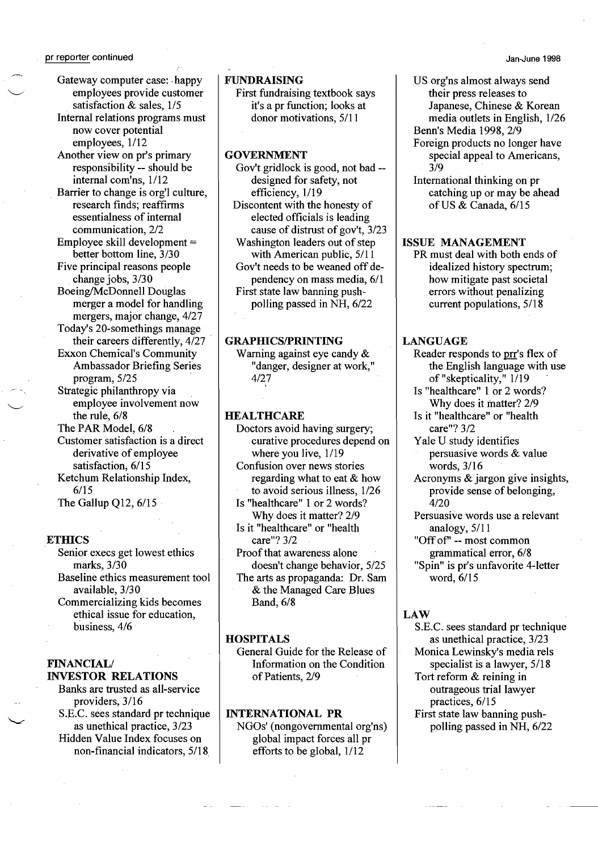Gateway computer case: -happy employees provide customer satisfaction & sales, 1/5 Internal relations programs must now cover potential employees, 1/12 Another view on pr's primary responsibility -- should be internal com'ns, 1/12 Barrier to change is org'l culture, research finds; reaffirms essentialness of internal communication, 2/2 Employee skill development = better bottom line, 3/30 Five principal reasons people change jobs, 3/30 Boeing/McDonnell Douglas merger a model for handling mergers, major change, 4/27 Today's 20-somethings manage their careers differently, 4/27 Exxon Chemical's Community Ambassador Briefing Series program, 5/25 Strategic philanthropy via employee involvement now the rule, 6/8 The PAR Model, 6/8 Customer satisfaction is a direct derivative of employee satisfaction, 6/15 Ketchum Relationship Index, 6/15

The Gallup Q12, 6/15

#### **ETHICS**

Senior execs get lowest ethics marks, 3/30 Baseline ethics measurement tool available, 3/30 Commercializing kids becomes ethical issue for education, business, 4/6

#### FINANCIAL/ INVESTOR RELATIONS

Banks are trusted as all-service providers, 3/16 S.E.C. sees standard pr technique as unethical practice, 3/23 Hidden Value Index focuses on non-financial indicators, 5/18,

## FUNDRAISING

First fundraising textbook says it's a pr function; looks at donor motivations, 5/11

## **GOVERNMENT**

Gov't gridlock is good, not bad designed for safety, not efficiency, 1/19 Discontent with the honesty of elected officials is leading cause of distrust of gov't, 3/23 Washington leaders out of step with American public,  $5/11$ Gov't needs to be weaned off dependency on mass media, 6/1 First state law banning pushpolling passed in NH, 6/22

## **GRAPHICS/PRINTING**

Warning against eye candy & "danger, designer at work," 4/27

## **HEALTHCARE**

- Doctors avoid having surgery; curative procedures depend on where you live, 1/19
- Confusion over news stories regarding what to eat & how
- to avoid serious illness, 1/26 Is "healthcare" 1 or 2 words? Why does it matter? 2/9
- Is it "healthcare" or "health care"? 3/2
- Proof that awareness alone doesn't change behavior, 5/25

The arts as propaganda: Dr. Sam & the Managed Care Blues Band,6/8

## **HOSPITALS**

General Guide for the Release of Information on the Condition of Patients, 2/9

#### INTERNATIONAL PR

NGOs' (nongovernmental org'ns) global impact forces all pr efforts to be global, 1/12

- US org'ns almost always send their press releases to Japanese, Chinese & Korean media outlets in English, 1/26 Benn's Media 1998, 2/9
- Foreign products no longer have special appeal to Americans, 3/9

International thinking on pr catching up or may be ahead ofUS & Canada, 6/15

#### ISSUE MANAGEMENT

PR must deal with both ends of idealized history spectrum; how mitigate past societal errors without penalizing current populations, 5/18

## LANGUAGE

- Reader responds to mr's flex of the English language with use of "skepticality," 1/19
- Is "healthcare" 1 or 2 words? Why does it matter? 2/9
- Is it "healthcare" or "health care"? 3/2
- Yale U study identifies
- persuasive words & value words, 3/16
- Acronyms & jargon give insights, provide sense of belonging, 4/20
- Persuasive words use a relevant analogy, 5/11
- "Off of' -- most common grammatical error, 6/8 "Spin" is pr's unfavorite 4-letter

word, 6/15

## LAW

- S.E.c. sees standard pr technique as unethical practice, 3/23 Monica Lewinsky's media rels specialist is a lawyer, 5/18 Tort reform & reining in
- outrageous trial lawyer practices, 6/15 First state law banning push-
- polling passed in NH, 6/22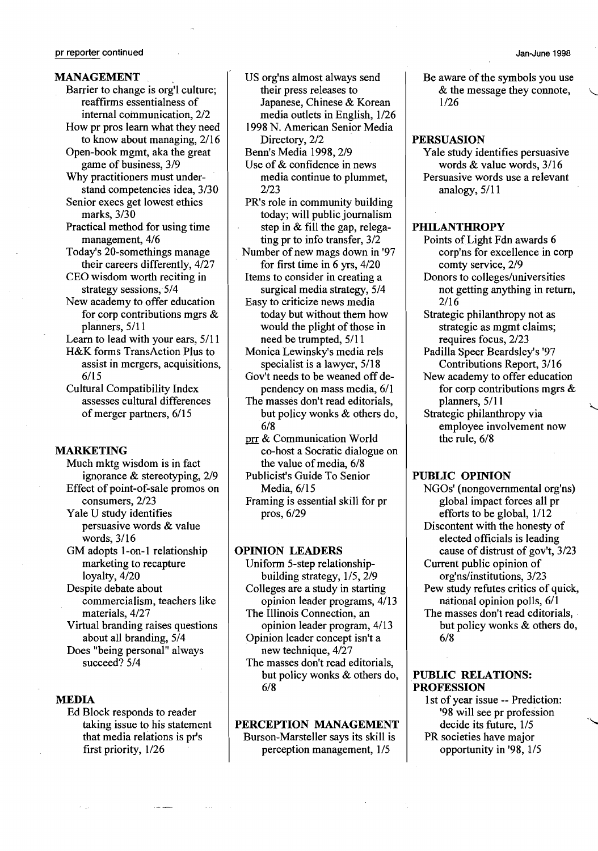#### pr reporter continued

## MANAGEMENT

- Barrier to change is org'l culture; reaffirms essentialness of internal communication, 2/2 How pr pros learn what they need to know about managing, 2/16
- Open-book mgmt, aka the great game of business, 3/9 Why practitioners must under-
- stand competencies idea, 3/30 Senior execs get lowest ethics marks, 3/30
- Practical method for using time management, 4/6
- Today's 20-somethings manage their careers differently, 4/27
- CEO wisdom worth reciting in strategy sessions, 5/4
- New academy to offer education for corp contributions mgrs & planners, 5/11

Learn to lead with your ears, 5/11

- H&K forms TransAction Plus to assist in mergers, acquisitions, 6/15
- Cultural Compatibility Index assesses cultural differences of merger partners, 6/15

#### MARKETING

- Much mktg wisdom is in fact ignorance & stereotyping, 2/9 Effect of point-of-sale promos on consumers, 2/23
- Yale U study identifies persuasive words & value words, 3/16
- GM adopts 1-on-1 relationship marketing to recapture loyalty, 4/20
- Despite debate about commercialism, teachers like materials, 4/27

Virtual branding raises questions about all branding, 5/4 Does "being personal" always succeed? 5/4

### MEDIA

Ed Block responds to reader taking issue to his statement that media relations is pr's first priority, l/26

- US org'ns almost always send their press releases to Japanese, Chinese & Korean media outlets in English, l/26 1998 N. American Senior Media
- Directory, 2/2 Benn's Media 1998, 2/9
- Use of & confidence in news media continue to plummet, 2/23
- PR's role in community building today; will public journalism step in & fill the gap, relegating pr to info transfer, 3/2
- Number of new mags down in '97 for first time in 6 yrs, 4/20 Items to consider in creating a
- surgical media strategy, 5/4 Easy to criticize news media today but without them how
- would the plight of those in need be trumpted, 5/11 Monica Lewinsky's media rels
- specialist is a lawyer, 5/18 Gov't needs to be weaned off de-
- pendency on mass media, 6/1 The masses don't read editorials, but policy wonks & others do,
- 6/8 prr & Communication World
- co-host a Socratic dialogue on the value of media, 6/8 Publicist's Guide To Senior
	- Media, 6/15
- Framing is essential skill for pr pros, 6/29

## OPINION LEADERS

- Uniform 5-step relationshipbuilding strategy, 1/5, 2/9 Colleges are a study in starting opinion leader programs, 4/13 The Illinois Connection, an opinion leader program, 4/13 Opinion leader concept isn't a
- new technique, 4/27 The masses don't read editorials, but policy wonks & others do, 6/8

## PERCEPTION MANAGEMENT Burson-Marsteller says its skill is perception management, 1/5

Be aware of the symbols you use & the message they connote, l/26

### PERSUASION

Yale study identifies persuasive words & value words, 3/16 Persuasive words use a relevant analogy, 5/11

#### **PHILANTHROPY**

- Points of Light Fdn awards 6 corp'ns for excellence in corp comty service, 2/9
- Donors to colleges/universities not getting anything in return, 2/16
- Strategic philanthropy not as strategic as mgmt claims; requires focus, 2/23
- Padilla Speer Beardsley's '97 Contributions Report, 3/16
- New academy to offer education for corp contributions mgrs  $\&$  planners, 5/11
- Strategic philanthropy via employee involvement now the rule, 6/8

## PUBLIC OPINION

NGOs' (nongovernmental org'ns) global impact forces all pr efforts to be global, 1/12 Discontent with the honesty of elected officials is leading cause of distrust of gov't,  $3/23$ Current public opinion of org'ns/institutions, 3/23 Pew study refutes critics of quick, national opinion polls, 6/1 The masses don't read editorials, . but policy wonks & others do, 6/8

## PUBLIC RELATIONS: PROFESSION

1st of year issue -- Prediction: '98 will see pr profession decide its future, 1/5  $\mathcal{L}$ PR societies have major opportunity in '98, 1/5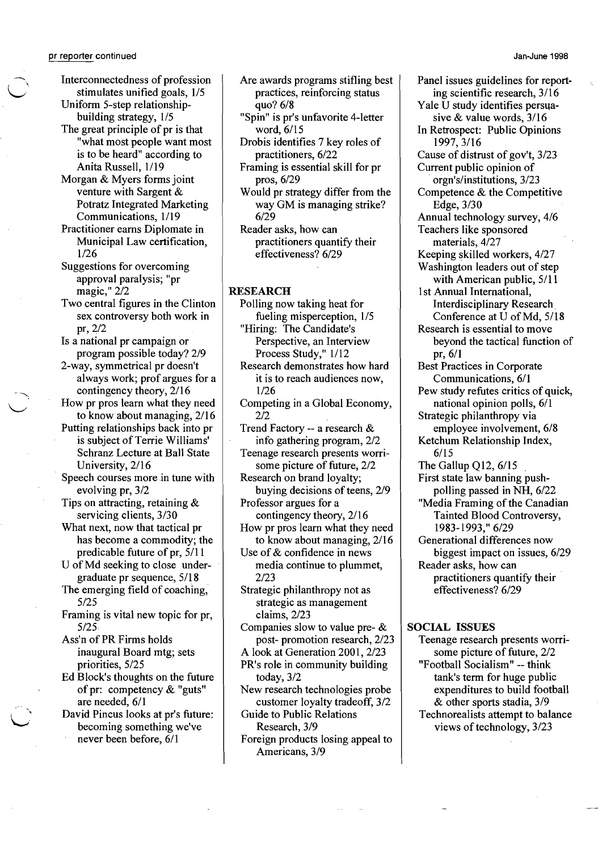pr reporter continued

Interconnectedness of profession stimulates unified goals, 1/5 Uniform S-step relationship-

building strategy,  $1/5$ The great principle of pr is that

"what most people want most is to be heard" according to Anita Russell, 1/19

Morgan & Myers forms joint venture with Sargent & Potratz Integrated Marketing Communications, 1/19

Practitioner earns Diplomate in Municipal Law certification, *lI26* 

Suggestions for overcoming approval paralysis; "pr magic," 2/2

Two central figures in the Clinton sex controversy both work in pr,2/2

Is a national pr campaign or program possible today? 2/9

2-way, symmetrical pr doesn't always work; prof argues for a contingency theory, 2/16

How pr pros learn what they need to know about managing, 2/16

Putting relationships back into pr is subject of Terrie Williams' Schranz Lecture at Ball State University,2/16

Speech courses more in tune with evolving pr, 3/2

Tips on attracting, retaining & servicing clients, 3/30

What next, now that tactical pr has become a commodity; the predicable future of pr, 5/11

U of Md seeking to close under graduate pr sequence, 5/18

The emerging field of coaching, 5/25

Framing is vital new topic for pr, 5/25

Ass'n of PR Firms holds inaugural Board mtg; sets priorities, 5/25

Ed Block's thoughts on the future of pr: competency  $&$  "guts" are needed, 6/1

David Pincus looks at pr's future: becoming something we've never been before, 6/1

Are awards programs stifling best practices, reinforcing status quo? 6/8

"Spin" is pr's unfavorite 4-letter word,6/15

Drobis identifies 7 key roles of practitioners, 6/22

Framing is essential skill for pr pros, 6/29

Would pr strategy differ from the way GM is managing strike? 6/29

Reader asks, how can practitioners quantify their effectiveness? 6/29

## RESEARCH

Polling now taking heat for fueling misperception,  $1/5$ "Hiring: The Candidate's

Perspective, an Interview Process Study," 1/12

Research demonstrates how hard it is to reach audiences now, *lI26* 

Competing in a Global Economy, 2/2

Trend Factory -- a research & info gathering program, 2/2 Teenage research presents worri-

some picture of future, 2/2 Research on brand loyalty;

buying decisions of teens, 2/9 Professor argues for a

contingency theory, 2/16 How pr pros learn what they need

to know about managing, 2/16 Use of & confidence in news

media continue to plummet, 2/23

Strategic philanthropy not as strategic as management claims, 2/23

Companies slow to value pre- & post- promotion research, 2/23

A look at Generation 2001, 2/23 PR's role in community building today, 3/2

New research technologies probe customer loyalty tradeoff, 3/2

Guide to Public Relations Research, 3/9

Foreign products losing appeal to Americans, 3/9

Panel issues guidelines for reporting scientific research, 3/16 Yale U study identifies persua sive & value words, 3/16 In Retrospect: Public Opinions 1997,3/16 Cause of distrust of gov't, 3/23 Current public opinion of . orgn's/institutions, 3/23 Competence & the Competitive Edge, 3/30 Annual technology survey, 4/6 Teachers like sponsored materials, 4/27 Keeping skilled workers, 4/27 Washington leaders out of step with American public, 5/11 1st Annual International, Interdisciplinary Research. Conference at U of Md, 5/18 Research is essential to move beyond the tactical function of pr,6/1 Best Practices in Corporate Communications, 6/1 Pew study refutes critics of quick, national opinion polls, 6/1 Strategic philanthropy via employee involvement, 6/8 Ketchum Relationship Index, 6/15 The Gallup  $Q12$ ,  $6/15$ First state law banning push polling passed in NH, 6/22 "Media Framing of the Canadian Tainted Blood Controversy, 1983-1993," 6/29 Generational differences now biggest impact on issues, 6/29 Reader asks, how can practitioners quantify their effectiveness? 6/29

## SOCIAL ISSUES

Teenage research presents worrisome picture of future, 2/2 "Football Socialism" -- think tank's term for huge public expenditures to build football & other sports stadia, 3/9 Technorealists attempt to balance views of technology, 3/23